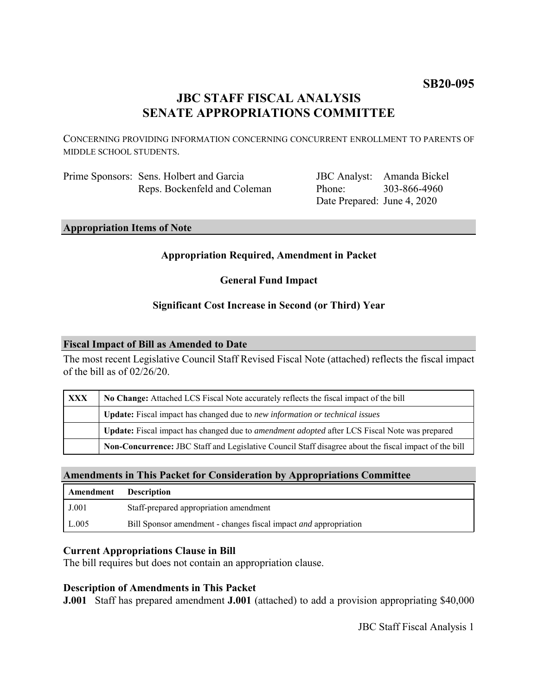# **SB20-095**

# **JBC STAFF FISCAL ANALYSIS SENATE APPROPRIATIONS COMMITTEE**

CONCERNING PROVIDING INFORMATION CONCERNING CONCURRENT ENROLLMENT TO PARENTS OF MIDDLE SCHOOL STUDENTS.

Prime Sponsors: Sens. Holbert and Garcia Reps. Bockenfeld and Coleman

JBC Analyst: Amanda Bickel Phone: Date Prepared: June 4, 2020 303-866-4960

**Appropriation Items of Note**

### **Appropriation Required, Amendment in Packet**

**General Fund Impact**

## **Significant Cost Increase in Second (or Third) Year**

### **Fiscal Impact of Bill as Amended to Date**

The most recent Legislative Council Staff Revised Fiscal Note (attached) reflects the fiscal impact of the bill as of 02/26/20.

| <b>XXX</b> | No Change: Attached LCS Fiscal Note accurately reflects the fiscal impact of the bill                 |
|------------|-------------------------------------------------------------------------------------------------------|
|            | <b>Update:</b> Fiscal impact has changed due to new information or technical issues                   |
|            | Update: Fiscal impact has changed due to <i>amendment adopted</i> after LCS Fiscal Note was prepared  |
|            | Non-Concurrence: JBC Staff and Legislative Council Staff disagree about the fiscal impact of the bill |

### **Amendments in This Packet for Consideration by Appropriations Committee**

| Amendment | <b>Description</b>                                                      |
|-----------|-------------------------------------------------------------------------|
| J.001     | Staff-prepared appropriation amendment                                  |
| L.005     | Bill Sponsor amendment - changes fiscal impact <i>and</i> appropriation |

### **Current Appropriations Clause in Bill**

The bill requires but does not contain an appropriation clause.

### **Description of Amendments in This Packet**

**J.001** Staff has prepared amendment **J.001** (attached) to add a provision appropriating \$40,000

JBC Staff Fiscal Analysis 1